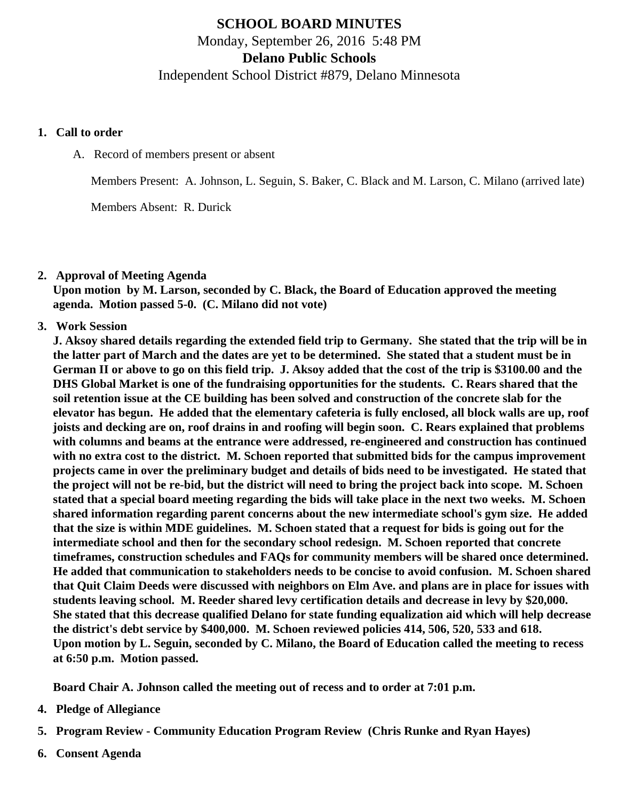# SCHOOL BOARD MINUTES Monday, September 26, 2016 5:48 PM Delano Public Schools Independent School District #879, Delano Minnesota

- 1. Call to order
	- A. Record of members present or absent

Members Present: A. Johnson, L. Seguin, S. Baker, C. Black and M. Larson, C. Milano (arrived late)

Members Absent: R. Durick

2. Approval of Meeting Agenda

Upon motion by M. Larson, seconded by C. Black, the Board of Education approved the meeting agenda. Motion passed 5-0. (C. Milano did not vote)

3. Work Session

J. Aksoy shared details regarding the extended field trip to Germany. She stated that the trip will be in the latter part of March and the dates are yet to be determined. She stated that a student must be in German II or above to go on this field trip. J. Aksoy added that the cost of the trip is \$3100.00 and the DHS Global Market is one of the fundraising opportunities for the students. C. Rears shared that the soil retention issue at the CE building has been solved and construction of the concrete slab for the elevator has begun. He added that the elementary cafeteria is fully enclosed, all block walls are up, roof joists and decking are on, roof drains in and roofing will begin soon. C. Rears explained that problems with columns and beams at the entrance were addressed, re-engineered and construction has continued with no extra cost to the district. M. Schoen reported that submitted bids for the campus improvement projects came in over the preliminary budget and details of bids need to be investigated. He stated that the project will not be re-bid, but the district will need to bring the project back into scope. M. Schoen stated that a special board meeting regarding the bids will take place in the next two weeks. M. Schoen shared information regarding parent concerns about the new intermediate school's gym size. He added that the size is within MDE guidelines. M. Schoen stated that a request for bids is going out for the intermediate school and then for the secondary school redesign. M. Schoen reported that concrete timeframes, construction schedules and FAQs for community members will be shared once determined. He added that communication to stakeholders needs to be concise to avoid confusion. M. Schoen shared that Quit Claim Deeds were discussed with neighbors on Elm Ave. and plans are in place for issues with students leaving school. M. Reeder shared levy certification details and decrease in levy by \$20,000. She stated that this decrease qualified Delano for state funding equalization aid which will help decrease the district's debt service by \$400,000. M. Schoen reviewed policies 414, 506, 520, 533 and 618. Upon motion by L. Seguin, seconded by C. Milano, the Board of Education called the meeting to recess at 6:50 p.m. Motion passed.

Board Chair A. Johnson called the meeting out of recess and to order at 7:01 p.m.

- 4. Pledge of Allegiance
- 5. Program Review - [Community Education Program Review](/docs/district/District_Forms/Summer_Review_2016.pdf) (Chris Runke and Ryan Hayes)
- 6. Consent Agenda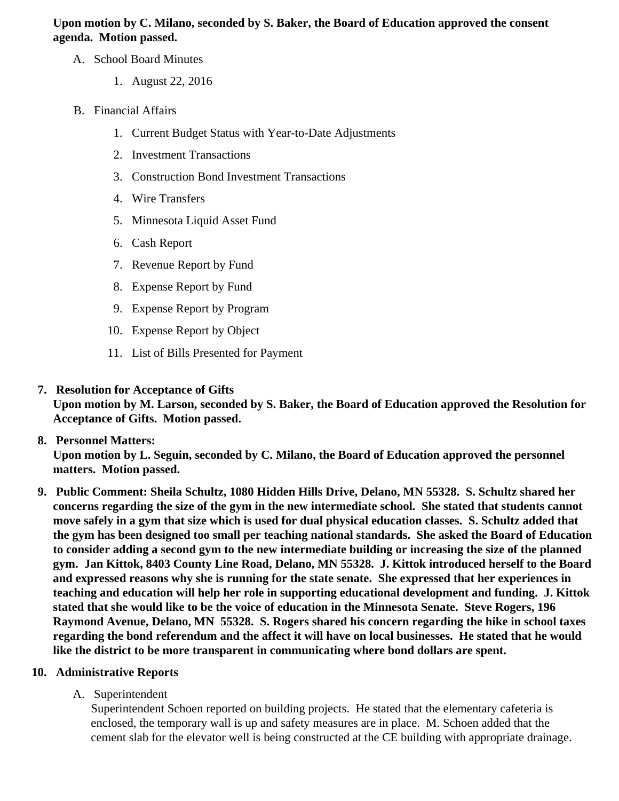Upon motion by C. Milano, seconded by S. Baker, the Board of Education approved the consent agenda. Motion passed.

- A. School Board Minutes
	- 1. [August 22, 201](/docs/district/District_Forms/School_Board_Minutes_8.22.16.pdf)6
- B. Financial Affairs
	- 1. [Current Budget Status with Year-to-Date Adjustm](/docs/district/Business_Office/Budget_Report_Sept_2016.pdf)ents
	- 2. [Investment Transactio](/docs/district/Business_Office/Investment_Sched_Aug_16.pdf)ns
	- 3. [Construction Bond Investment Transacti](/docs/district/Business_Office/Bond_Investment_schedule_Aug_16.pdf)ons
	- 4. [Wire Transfer](/docs/district/Business_Office/Wire_Transfers_Aug_16.pdf)s
	- 5. [Minnesota Liquid Asset Fun](/docs/district/Business_Office/LAF_Aug_16.pdf)d
	- 6. [Cash Repo](/docs/district/Business_Office/Cash_Report_Aug_2016.pdf)rt
	- 7. [Revenue Report by Fu](/docs/district/Business_Office/SCHOOL_BOARD_REPORTS_-_REVENUE_BY_FUND_TOTAL__(Date__6_2017).pdf)nd
	- 8. [Expense Report by Fu](/docs/district/Business_Office/SCHOOL_BOARD_REPORTS_-_EXP_BY_FUND_TOTAL__(Date__6_2017).pdf)nd
	- 9. [Expense Report by Prog](/docs/district/Business_Office/SCHOOL_BOARD_REPORTS_-_EXPENDITURES_BY_PROGRAM__(Date__6_2017).pdf)na
	- 10. [Expense Report by Obje](/docs/district/Business_Office/SCHOOL_BOARD_REPORTS_-_EXPENDITURES_BY_OBJECT__(Date__6_2017).pdf)ct
	- 11. [List of Bills Presented for Payme](/docs/district/Business_Office/DETAIL_OF_MONTHLY_BILLS_PRESENTED_FOR_PAYMENT_(Dates__07_01_16_-_09_21_16).pdf)nt
- 7. [Resolution for Acceptance of Gifts](/docs/district/Business_Office/Resolution_for_Acceptance_of_Gifts_9.26.16.pdf)

Upon motion by M. Larson, seconded by S. Baker, the Board of Education approved the Resolution for Acceptance of Gifts. Motion passed.

- 8. [Personnel Matters:](/docs/district/Business_Office/09.21.16.pdf) Upon motion by L. Seguin, seconded by C. Milano, the Board of Education approved the personnel matters. Motion passed.
- 9. Public Comment: Sheila Schultz, 1080 Hidden Hills Drive, Delano, MN 55328S. Schultz shared her concerns regarding the size of the gym in the new intermediate school. She stated that students cannot move safely in a gym that size which is used for dual physical education classes. S. Schultz added that the gym has been designed too small per teaching national standards. She asked the Board of Education to consider adding a second gym to the new intermediate building or increasing the size of the planned gym. Jan Kittok, 8403 County Line Road, Delano, MN 55328J. Kittok introduced herself to the Board and expressed reasons why she is running for the state senate. She expressed that her experiences in teaching and education will help her role in supporting educational development and funding. J. Kittok stated that she would like to be the voice of education in the Minnesota Sena& teve Rogers, 196 Raymond Avenue, Delano, MN 55328S. Rogers shared his concern regarding the hike in school taxes regarding the bond referendum and the affect it will have on local businesses. He stated that he would like the district to be more transparent in communicating where bond dollars are spent.
- 10. Administrative Reports
	- A. Superintendent

Superintendent Schoen reported on building projects. He stated that the elementary cafeteria is enclosed, the temporary wall is up and safety measures are in place. M. Schoen added that the cement slab for the elevator well is being constructed at the CE building with appropriate drainage.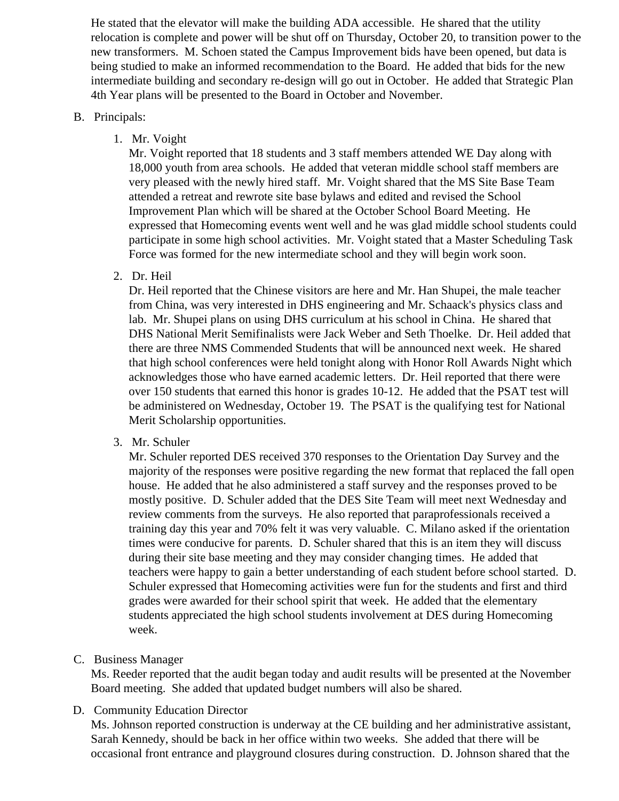He stated that the elevator will make the building ADA accessible. He shared that the utility relocation is complete and power will be shut off on Thursday, October 20, to transition power to the new transformers. M. Schoen stated the Campus Improvement bids have been opened, but data is being studied to make an informed recommendation to the Board. He added that bids for the new intermediate building and secondary re-design will go out in October. He added that Strategic Plan 4th Year plans will be presented to the Board in October and November.

#### B. Principals:

1. Mr. Voight

Mr. Voight reported that 18 students and 3 staff members attended WE Day along with 18,000 youth from area schools. He added that veteran middle school staff members are very pleased with the newly hired staff. Mr. Voight shared that the MS Site Base Team attended a retreat and rewrote site base bylaws and edited and revised the School Improvement Plan which will be shared at the October School Board Meeting. He expressed that Homecoming events went well and he was glad middle school students could participate in some high school activities. Mr. Voight stated that a Master Scheduling Task Force was formed for the new intermediate school and they will begin work soon.

2. Dr. Heil

Dr. Heil reported that the Chinese visitors are here and Mr. Han Shupei, the male teacher from China, was very interested in DHS engineering and Mr. Schaack's physics class and lab. Mr. Shupei plans on using DHS curriculum at his school in China. He shared that DHS National Merit Semifinalists were Jack Weber and Seth Thoelke. Dr. Heil added that there are three NMS Commended Students that will be announced next week. He shared that high school conferences were held tonight along with Honor Roll Awards Night which acknowledges those who have earned academic letters. Dr. Heil reported that there were over 150 students that earned this honor is grades 10-12. He added that the PSAT test will be administered on Wednesday, October 19. The PSAT is the qualifying test for National Merit Scholarship opportunities.

3. Mr. Schuler

Mr. Schuler reported DES received 370 responses to the Orientation Day Survey and the majority of the responses were positive regarding the new format that replaced the fall open house. He added that he also administered a staff survey and the responses proved to be mostly positive. D. Schuler added that the DES Site Team will meet next Wednesday and review comments from the surveys. He also reported that paraprofessionals received a training day this year and 70% felt it was very valuable. C. Milano asked if the orientation times were conducive for parents. D. Schuler shared that this is an item they will discuss during their site base meeting and they may consider changing times. He added that teachers were happy to gain a better understanding of each student before school started. D. Schuler expressed that Homecoming activities were fun for the students and first and third grades were awarded for their school spirit that week. He added that the elementary students appreciated the high school students involvement at DES during Homecoming week.

C. Business Manager

Ms. Reeder reported that the audit began today and audit results will be presented at the November Board meeting. She added that updated budget numbers will also be shared.

D. Community Education Director

Ms. Johnson reported construction is underway at the CE building and her administrative assistant, Sarah Kennedy, should be back in her office within two weeks. She added that there will be occasional front entrance and playground closures during construction. D. Johnson shared that the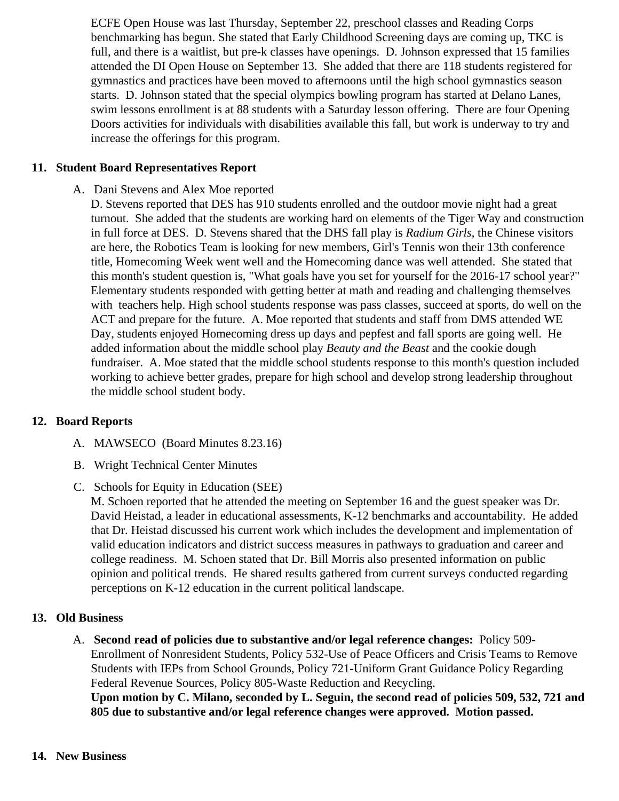ECFE Open House was last Thursday, September 22, preschool classes and Reading Corps benchmarking has begun. She stated that Early Childhood Screening days are coming up, TKC is full, and there is a waitlist, but pre-k classes have openings. D. Johnson expressed that 15 familie attended the DI Open House on September 13. She added that there are 118 students registered gymnastics and practices have been moved to afternoons until the high school gymnastics season starts. D. Johnson stated that the special olympics bowling program has started at Delano Lanes, swim lessons enrollment is at 88 students with a Saturday lesson offering. There are four Opening Doors activities for individuals with disabilities available this fall, but work is underway to try and increase the offerings for this program.

### 11. Student Board Representatives Report

A. Dani Stevens and Alex Moe reported

D. Stevens reported that DES has 910 students enrolled and the outdoor movie night had a great turnout. She added that the students are working hard on elements of the Tiger Way and construc in full force at DES. D. Stevens shared that the DHS fall play addum Girls the Chinese visitors are here, the Robotics Team is looking for new members, Girl's Tennis won their 13th conference title, Homecoming Week went well and the Homecoming dance was well attended. She stated that this month's student question is, "What goals have you set for yourself for the 2016-17 school year Elementary students responded with getting better at math and reading and challenging themselves with teachers help. High school students response was pass classes, succeed at sports, do well on ACT and prepare for the future. A. Moe reported that students and staff from DMS attended WE Day, students enjoyed Homecoming dress up days and pepfest and fall sports are going well. He added information about the middle school plast and the Beast at the cookie dough fundraiser. A. Moe stated that the middle school students response to this month's question includ working to achieve better grades, prepare for high school and develop strong leadership throughout the middle school student body.

#### 12. Board Reports

- A. MAWSECO Board Minutes 8.23.16)
- **B.** Wright Technical Cent[er Minutes](/docs/district/2016_17/Min_August_2.pdf)

## C. Schools for Equity in Education (SEE)

M. Schoen reported that he attended the meeting on September 16 and the guest speaker was Dr. David Heistad, a leader in educational assessments, K-12 benchmarks and accountability. He add that Dr. Heistad discussed his current work which includes the development and implementation of valid education indicators and district success measures in pathways to graduation and career and college readiness. M. Schoen stated that Dr. Bill Morris also presented information on public opinion and political trends. He shared results gathered from current surveys conducted regarding perceptions on K-12 education in the current political landscape.

#### 13. Old Business

A. Second read of policies due to substantive and/or legal reference changestlicy 509-Enrollment of Nonresident Students, Policy 532-Use of Peace Officers and Crisis Teams to Remove Students with IEPs from School Grounds, Policy 721-Uniform Grant Guidance Policy Regarding Federal Revenue Sources, Policy 805-Waste Reduction and Recycling. Upon motion by C. Milano, seconded by L. Seguin, the second read of policies 509, 532, 721 and 805 due to substantive and/or legal reference changes were approved. Motion passed.